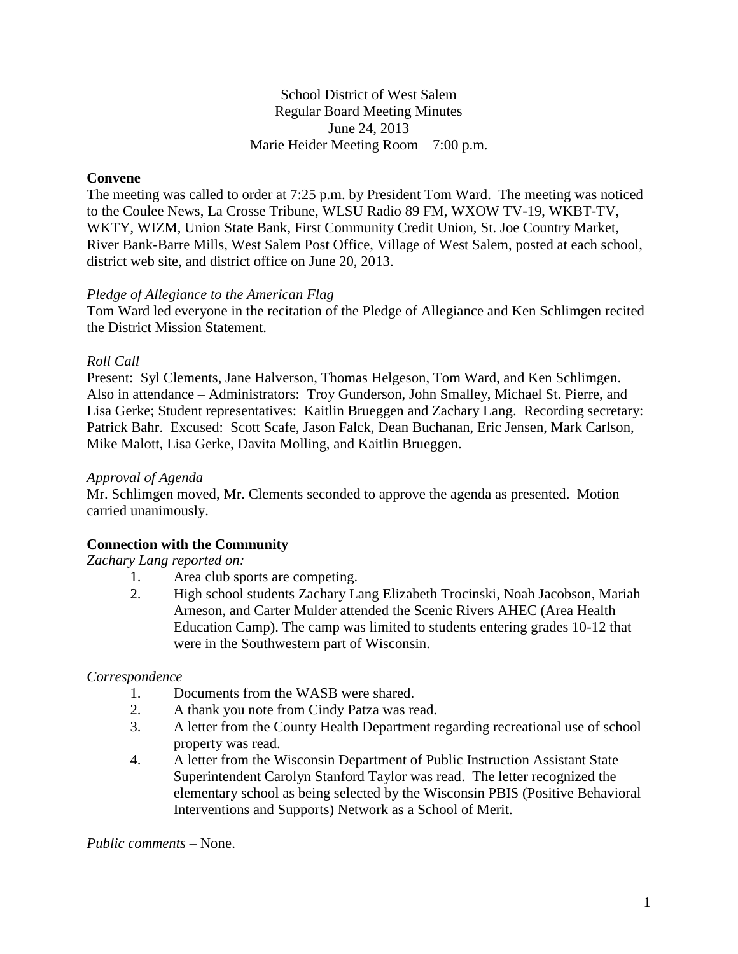School District of West Salem Regular Board Meeting Minutes June 24, 2013 Marie Heider Meeting Room – 7:00 p.m.

# **Convene**

The meeting was called to order at 7:25 p.m. by President Tom Ward. The meeting was noticed to the Coulee News, La Crosse Tribune, WLSU Radio 89 FM, WXOW TV-19, WKBT-TV, WKTY, WIZM, Union State Bank, First Community Credit Union, St. Joe Country Market, River Bank-Barre Mills, West Salem Post Office, Village of West Salem, posted at each school, district web site, and district office on June 20, 2013.

## *Pledge of Allegiance to the American Flag*

Tom Ward led everyone in the recitation of the Pledge of Allegiance and Ken Schlimgen recited the District Mission Statement.

## *Roll Call*

Present: Syl Clements, Jane Halverson, Thomas Helgeson, Tom Ward, and Ken Schlimgen. Also in attendance – Administrators: Troy Gunderson, John Smalley, Michael St. Pierre, and Lisa Gerke; Student representatives: Kaitlin Brueggen and Zachary Lang. Recording secretary: Patrick Bahr. Excused: Scott Scafe, Jason Falck, Dean Buchanan, Eric Jensen, Mark Carlson, Mike Malott, Lisa Gerke, Davita Molling, and Kaitlin Brueggen.

#### *Approval of Agenda*

Mr. Schlimgen moved, Mr. Clements seconded to approve the agenda as presented. Motion carried unanimously.

## **Connection with the Community**

*Zachary Lang reported on:*

- 1. Area club sports are competing.
- 2. High school students Zachary Lang Elizabeth Trocinski, Noah Jacobson, Mariah Arneson, and Carter Mulder attended the Scenic Rivers AHEC (Area Health Education Camp). The camp was limited to students entering grades 10-12 that were in the Southwestern part of Wisconsin.

## *Correspondence*

- 1. Documents from the WASB were shared.
- 2. A thank you note from Cindy Patza was read.
- 3. A letter from the County Health Department regarding recreational use of school property was read.
- 4. A letter from the Wisconsin Department of Public Instruction Assistant State Superintendent Carolyn Stanford Taylor was read. The letter recognized the elementary school as being selected by the Wisconsin PBIS (Positive Behavioral Interventions and Supports) Network as a School of Merit.

*Public comments –* None.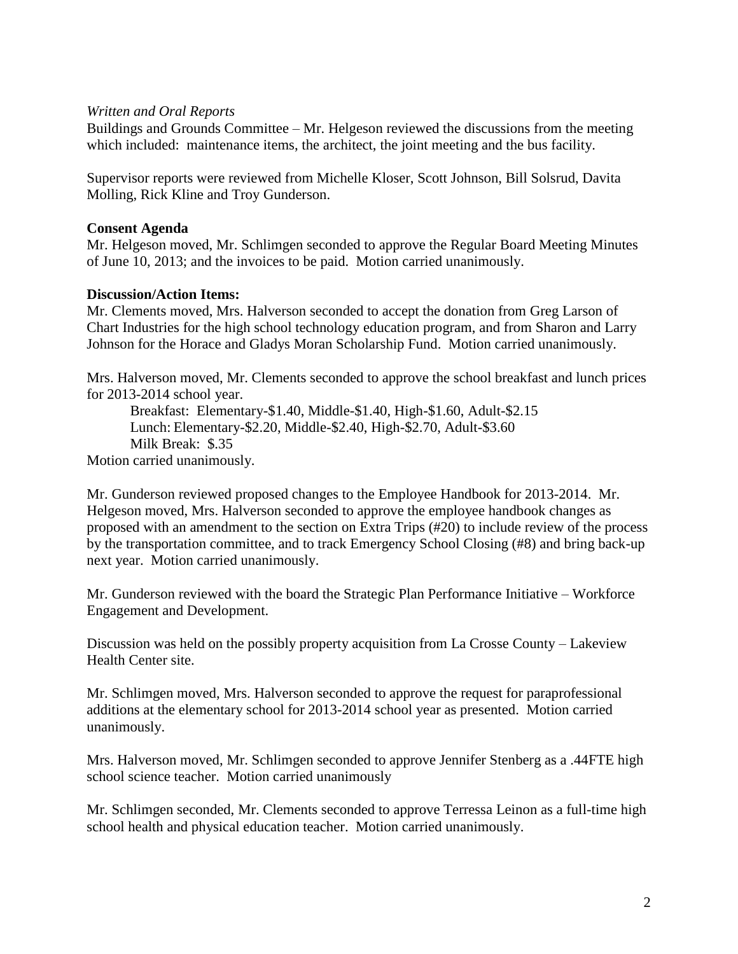#### *Written and Oral Reports*

Buildings and Grounds Committee – Mr. Helgeson reviewed the discussions from the meeting which included: maintenance items, the architect, the joint meeting and the bus facility.

Supervisor reports were reviewed from Michelle Kloser, Scott Johnson, Bill Solsrud, Davita Molling, Rick Kline and Troy Gunderson.

#### **Consent Agenda**

Mr. Helgeson moved, Mr. Schlimgen seconded to approve the Regular Board Meeting Minutes of June 10, 2013; and the invoices to be paid. Motion carried unanimously.

#### **Discussion/Action Items:**

Mr. Clements moved, Mrs. Halverson seconded to accept the donation from Greg Larson of Chart Industries for the high school technology education program, and from Sharon and Larry Johnson for the Horace and Gladys Moran Scholarship Fund. Motion carried unanimously.

Mrs. Halverson moved, Mr. Clements seconded to approve the school breakfast and lunch prices for 2013-2014 school year.

Breakfast: Elementary-\$1.40, Middle-\$1.40, High-\$1.60, Adult-\$2.15 Lunch: Elementary-\$2.20, Middle-\$2.40, High-\$2.70, Adult-\$3.60 Milk Break: \$.35

Motion carried unanimously.

Mr. Gunderson reviewed proposed changes to the Employee Handbook for 2013-2014. Mr. Helgeson moved, Mrs. Halverson seconded to approve the employee handbook changes as proposed with an amendment to the section on Extra Trips (#20) to include review of the process by the transportation committee, and to track Emergency School Closing (#8) and bring back-up next year. Motion carried unanimously.

Mr. Gunderson reviewed with the board the Strategic Plan Performance Initiative – Workforce Engagement and Development.

Discussion was held on the possibly property acquisition from La Crosse County – Lakeview Health Center site.

Mr. Schlimgen moved, Mrs. Halverson seconded to approve the request for paraprofessional additions at the elementary school for 2013-2014 school year as presented. Motion carried unanimously.

Mrs. Halverson moved, Mr. Schlimgen seconded to approve Jennifer Stenberg as a .44FTE high school science teacher. Motion carried unanimously

Mr. Schlimgen seconded, Mr. Clements seconded to approve Terressa Leinon as a full-time high school health and physical education teacher. Motion carried unanimously.